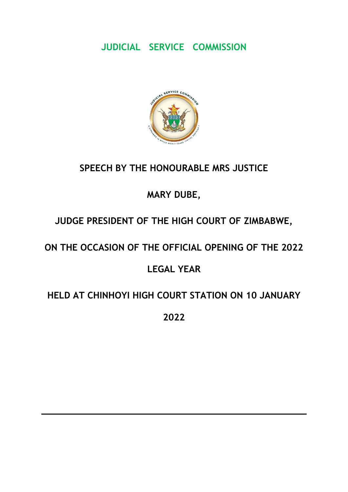# **JUDICIAL SERVICE COMMISSION**



# **SPEECH BY THE HONOURABLE MRS JUSTICE**

## **MARY DUBE,**

## **JUDGE PRESIDENT OF THE HIGH COURT OF ZIMBABWE,**

## **ON THE OCCASION OF THE OFFICIAL OPENING OF THE 2022**

## **LEGAL YEAR**

### **HELD AT CHINHOYI HIGH COURT STATION ON 10 JANUARY**

**2022**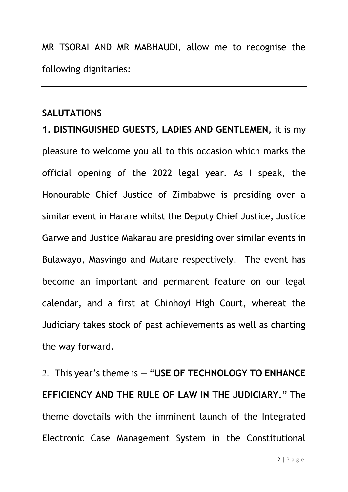MR TSORAI AND MR MABHAUDI, allow me to recognise the following dignitaries:

#### **SALUTATIONS**

**1. DISTINGUISHED GUESTS, LADIES AND GENTLEMEN,** it is my pleasure to welcome you all to this occasion which marks the official opening of the 2022 legal year. As I speak, the Honourable Chief Justice of Zimbabwe is presiding over a similar event in Harare whilst the Deputy Chief Justice, Justice Garwe and Justice Makarau are presiding over similar events in Bulawayo, Masvingo and Mutare respectively. The event has become an important and permanent feature on our legal calendar, and a first at Chinhoyi High Court, whereat the Judiciary takes stock of past achievements as well as charting the way forward.

2. This year's theme is — "**USE OF TECHNOLOGY TO ENHANCE EFFICIENCY AND THE RULE OF LAW IN THE JUDICIARY.**" The theme dovetails with the imminent launch of the Integrated Electronic Case Management System in the Constitutional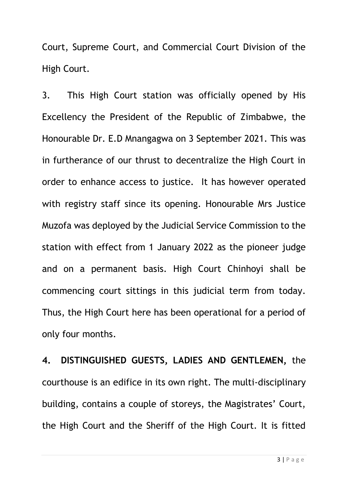Court, Supreme Court, and Commercial Court Division of the High Court.

3. This High Court station was officially opened by His Excellency the President of the Republic of Zimbabwe, the Honourable Dr. E.D Mnangagwa on 3 September 2021. This was in furtherance of our thrust to decentralize the High Court in order to enhance access to justice. It has however operated with registry staff since its opening. Honourable Mrs Justice Muzofa was deployed by the Judicial Service Commission to the station with effect from 1 January 2022 as the pioneer judge and on a permanent basis. High Court Chinhoyi shall be commencing court sittings in this judicial term from today. Thus, the High Court here has been operational for a period of only four months.

**4. DISTINGUISHED GUESTS, LADIES AND GENTLEMEN,** the courthouse is an edifice in its own right. The multi-disciplinary building, contains a couple of storeys, the Magistrates' Court, the High Court and the Sheriff of the High Court. It is fitted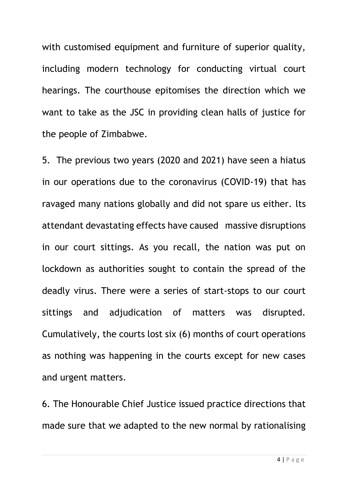with customised equipment and furniture of superior quality, including modern technology for conducting virtual court hearings. The courthouse epitomises the direction which we want to take as the JSC in providing clean halls of justice for the people of Zimbabwe.

5. The previous two years (2020 and 2021) have seen a hiatus in our operations due to the coronavirus (COVID-19) that has ravaged many nations globally and did not spare us either. lts attendant devastating effects have caused massive disruptions in our court sittings. As you recall, the nation was put on lockdown as authorities sought to contain the spread of the deadly virus. There were a series of start-stops to our court sittings and adjudication of matters was disrupted. Cumulatively, the courts lost six (6) months of court operations as nothing was happening in the courts except for new cases and urgent matters.

6. The Honourable Chief Justice issued practice directions that made sure that we adapted to the new normal by rationalising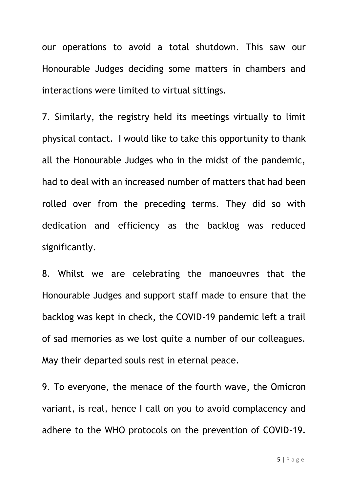our operations to avoid a total shutdown. This saw our Honourable Judges deciding some matters in chambers and interactions were limited to virtual sittings.

7. Similarly, the registry held its meetings virtually to limit physical contact. I would like to take this opportunity to thank all the Honourable Judges who in the midst of the pandemic, had to deal with an increased number of matters that had been rolled over from the preceding terms. They did so with dedication and efficiency as the backlog was reduced significantly.

8. Whilst we are celebrating the manoeuvres that the Honourable Judges and support staff made to ensure that the backlog was kept in check, the COVID-19 pandemic left a trail of sad memories as we lost quite a number of our colleagues. May their departed souls rest in eternal peace.

9. To everyone, the menace of the fourth wave, the Omicron variant, is real, hence I call on you to avoid complacency and adhere to the WHO protocols on the prevention of COVID-19.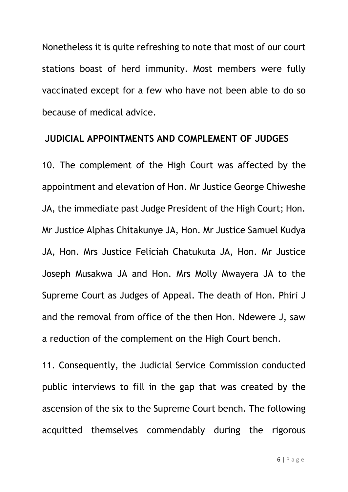Nonetheless it is quite refreshing to note that most of our court stations boast of herd immunity. Most members were fully vaccinated except for a few who have not been able to do so because of medical advice.

#### **JUDICIAL APPOINTMENTS AND COMPLEMENT OF JUDGES**

10. The complement of the High Court was affected by the appointment and elevation of Hon. Mr Justice George Chiweshe JA, the immediate past Judge President of the High Court; Hon. Mr Justice Alphas Chitakunye JA, Hon. Mr Justice Samuel Kudya JA, Hon. Mrs Justice Feliciah Chatukuta JA, Hon. Mr Justice Joseph Musakwa JA and Hon. Mrs Molly Mwayera JA to the Supreme Court as Judges of Appeal. The death of Hon. Phiri J and the removal from office of the then Hon. Ndewere J, saw a reduction of the complement on the High Court bench.

11. Consequently, the Judicial Service Commission conducted public interviews to fill in the gap that was created by the ascension of the six to the Supreme Court bench. The following acquitted themselves commendably during the rigorous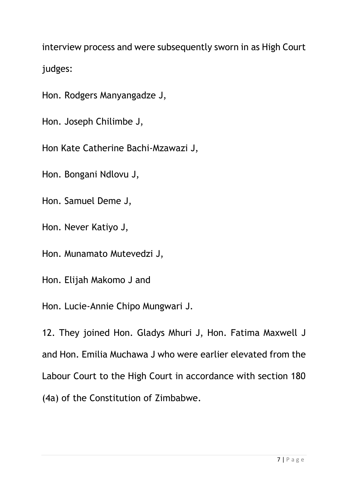interview process and were subsequently sworn in as High Court judges:

Hon. Rodgers Manyangadze J,

Hon. Joseph Chilimbe J,

Hon Kate Catherine Bachi-Mzawazi J,

Hon. Bongani Ndlovu J,

Hon. Samuel Deme J,

Hon. Never Katiyo J,

Hon. Munamato Mutevedzi J,

Hon. Elijah Makomo J and

Hon. Lucie-Annie Chipo Mungwari J.

12. They joined Hon. Gladys Mhuri J, Hon. Fatima Maxwell J and Hon. Emilia Muchawa J who were earlier elevated from the Labour Court to the High Court in accordance with section 180 (4a) of the Constitution of Zimbabwe.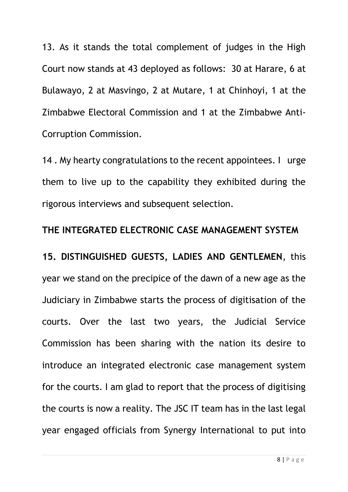13. As it stands the total complement of judges in the High Court now stands at 43 deployed as follows: 30 at Harare, 6 at Bulawayo, 2 at Masvingo, 2 at Mutare, 1 at Chinhoyi, 1 at the Zimbabwe Electoral Commission and 1 at the Zimbabwe Anti-Corruption Commission.

14. My hearty congratulations to the recent appointees. I urge them to live up to the capability they exhibited during the rigorous interviews and subsequent selection.

## **THE INTEGRATED ELECTRONIC CASE MANAGEMENT SYSTEM**

**15. DISTINGUISHED GUESTS, LADIES AND GENTLEMEN**, this year we stand on the precipice of the dawn of a new age as the Judiciary in Zimbabwe starts the process of digitisation of the courts. Over the last two years, the Judicial Service Commission has been sharing with the nation its desire to introduce an integrated electronic case management system for the courts. I am glad to report that the process of digitising the courts is now a reality. The JSC IT team has in the last legal year engaged officials from Synergy International to put into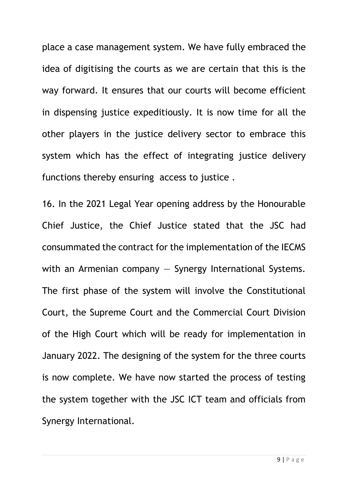place a case management system. We have fully embraced the idea of digitising the courts as we are certain that this is the way forward. It ensures that our courts will become efficient in dispensing justice expeditiously. It is now time for all the other players in the justice delivery sector to embrace this system which has the effect of integrating justice delivery functions thereby ensuring access to justice .

16. In the 2021 Legal Year opening address by the Honourable Chief Justice, the Chief Justice stated that the JSC had consummated the contract for the implementation of the IECMS with an Armenian company  $-$  Synergy International Systems. The first phase of the system will involve the Constitutional Court, the Supreme Court and the Commercial Court Division of the High Court which will be ready for implementation in January 2022. The designing of the system for the three courts is now complete. We have now started the process of testing the system together with the JSC ICT team and officials from Synergy International.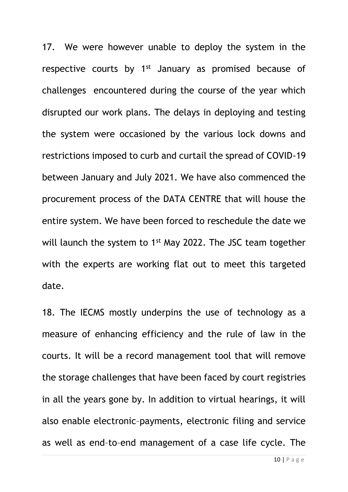17. We were however unable to deploy the system in the respective courts by 1<sup>st</sup> January as promised because of challenges encountered during the course of the year which disrupted our work plans. The delays in deploying and testing the system were occasioned by the various lock downs and restrictions imposed to curb and curtail the spread of COVID-19 between January and July 2021. We have also commenced the procurement process of the DATA CENTRE that will house the entire system. We have been forced to reschedule the date we will launch the system to 1<sup>st</sup> May 2022. The JSC team together with the experts are working flat out to meet this targeted date.

18. The IECMS mostly underpins the use of technology as a measure of enhancing efficiency and the rule of law in the courts. It will be a record management tool that will remove the storage challenges that have been faced by court registries in all the years gone by. In addition to virtual hearings, it will also enable electronic–payments, electronic filing and service as well as end–to–end management of a case life cycle. The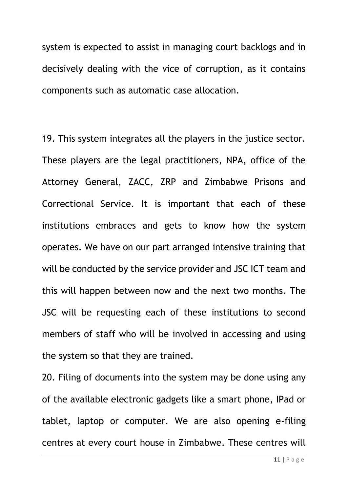system is expected to assist in managing court backlogs and in decisively dealing with the vice of corruption, as it contains components such as automatic case allocation.

19. This system integrates all the players in the justice sector. These players are the legal practitioners, NPA, office of the Attorney General, ZACC, ZRP and Zimbabwe Prisons and Correctional Service. It is important that each of these institutions embraces and gets to know how the system operates. We have on our part arranged intensive training that will be conducted by the service provider and JSC ICT team and this will happen between now and the next two months. The JSC will be requesting each of these institutions to second members of staff who will be involved in accessing and using the system so that they are trained.

20. Filing of documents into the system may be done using any of the available electronic gadgets like a smart phone, IPad or tablet, laptop or computer. We are also opening e-filing centres at every court house in Zimbabwe. These centres will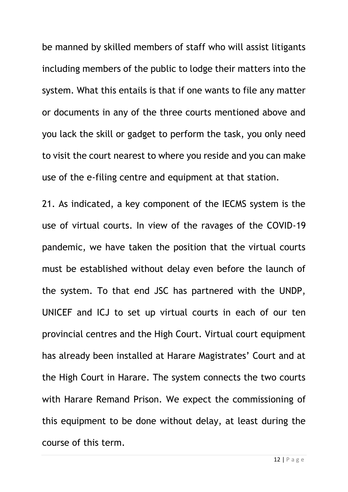be manned by skilled members of staff who will assist litigants including members of the public to lodge their matters into the system. What this entails is that if one wants to file any matter or documents in any of the three courts mentioned above and you lack the skill or gadget to perform the task, you only need to visit the court nearest to where you reside and you can make use of the e-filing centre and equipment at that station.

21. As indicated, a key component of the IECMS system is the use of virtual courts. In view of the ravages of the COVID-19 pandemic, we have taken the position that the virtual courts must be established without delay even before the launch of the system. To that end JSC has partnered with the UNDP, UNICEF and ICJ to set up virtual courts in each of our ten provincial centres and the High Court. Virtual court equipment has already been installed at Harare Magistrates' Court and at the High Court in Harare. The system connects the two courts with Harare Remand Prison. We expect the commissioning of this equipment to be done without delay, at least during the course of this term.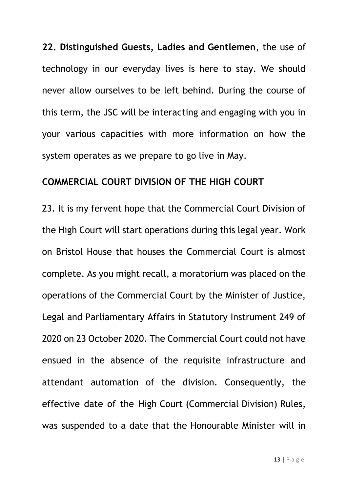**22. Distinguished Guests, Ladies and Gentlemen**, the use of technology in our everyday lives is here to stay. We should never allow ourselves to be left behind. During the course of this term, the JSC will be interacting and engaging with you in your various capacities with more information on how the system operates as we prepare to go live in May.

### **COMMERCIAL COURT DIVISION OF THE HIGH COURT**

23. It is my fervent hope that the Commercial Court Division of the High Court will start operations during this legal year. Work on Bristol House that houses the Commercial Court is almost complete. As you might recall, a moratorium was placed on the operations of the Commercial Court by the Minister of Justice, Legal and Parliamentary Affairs in Statutory Instrument 249 of 2020 on 23 October 2020. The Commercial Court could not have ensued in the absence of the requisite infrastructure and attendant automation of the division. Consequently, the effective date of the High Court (Commercial Division) Rules, was suspended to a date that the Honourable Minister will in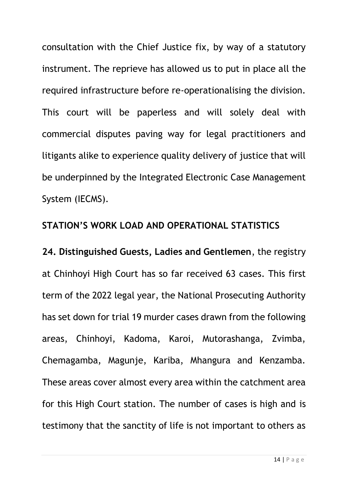consultation with the Chief Justice fix, by way of a statutory instrument. The reprieve has allowed us to put in place all the required infrastructure before re-operationalising the division. This court will be paperless and will solely deal with commercial disputes paving way for legal practitioners and litigants alike to experience quality delivery of justice that will be underpinned by the Integrated Electronic Case Management System (IECMS).

#### **STATION'S WORK LOAD AND OPERATIONAL STATISTICS**

**24. Distinguished Guests, Ladies and Gentlemen**, the registry at Chinhoyi High Court has so far received 63 cases. This first term of the 2022 legal year, the National Prosecuting Authority has set down for trial 19 murder cases drawn from the following areas, Chinhoyi, Kadoma, Karoi, Mutorashanga, Zvimba, Chemagamba, Magunje, Kariba, Mhangura and Kenzamba. These areas cover almost every area within the catchment area for this High Court station. The number of cases is high and is testimony that the sanctity of life is not important to others as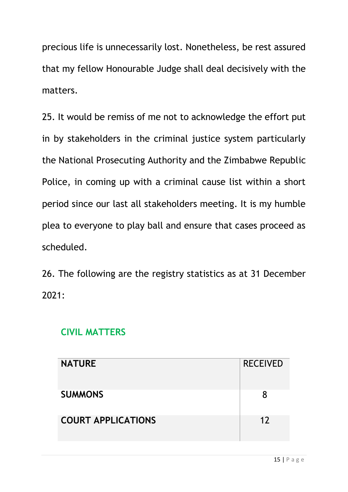precious life is unnecessarily lost. Nonetheless, be rest assured that my fellow Honourable Judge shall deal decisively with the matters.

25. It would be remiss of me not to acknowledge the effort put in by stakeholders in the criminal justice system particularly the National Prosecuting Authority and the Zimbabwe Republic Police, in coming up with a criminal cause list within a short period since our last all stakeholders meeting. It is my humble plea to everyone to play ball and ensure that cases proceed as scheduled.

26. The following are the registry statistics as at 31 December 2021:

### **CIVIL MATTERS**

| <b>NATURE</b>             | <b>RECEIVED</b> |
|---------------------------|-----------------|
| <b>SUMMONS</b>            | 8               |
| <b>COURT APPLICATIONS</b> | 12              |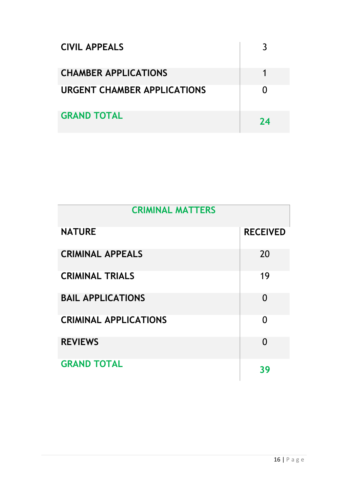| <b>CIVIL APPEALS</b>               |    |
|------------------------------------|----|
| <b>CHAMBER APPLICATIONS</b>        |    |
| <b>URGENT CHAMBER APPLICATIONS</b> |    |
| <b>GRAND TOTAL</b>                 | 74 |

| <b>CRIMINAL MATTERS</b>      |                 |
|------------------------------|-----------------|
| <b>NATURE</b>                | <b>RECEIVED</b> |
| <b>CRIMINAL APPEALS</b>      | 20              |
| <b>CRIMINAL TRIALS</b>       | 19              |
| <b>BAIL APPLICATIONS</b>     | 0               |
| <b>CRIMINAL APPLICATIONS</b> | 0               |
| <b>REVIEWS</b>               | 0               |
| <b>GRAND TOTAL</b>           | 39              |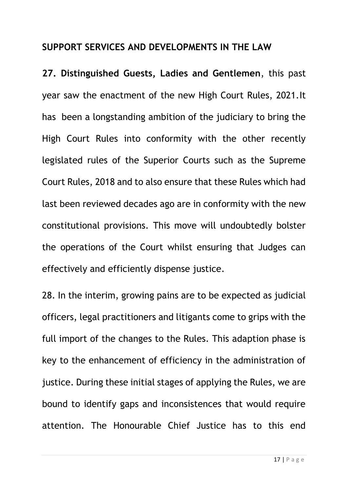## **SUPPORT SERVICES AND DEVELOPMENTS IN THE LAW**

**27. Distinguished Guests, Ladies and Gentlemen**, this past year saw the enactment of the new High Court Rules, 2021.It has been a longstanding ambition of the judiciary to bring the High Court Rules into conformity with the other recently legislated rules of the Superior Courts such as the Supreme Court Rules, 2018 and to also ensure that these Rules which had last been reviewed decades ago are in conformity with the new constitutional provisions. This move will undoubtedly bolster the operations of the Court whilst ensuring that Judges can effectively and efficiently dispense justice.

28. In the interim, growing pains are to be expected as judicial officers, legal practitioners and litigants come to grips with the full import of the changes to the Rules. This adaption phase is key to the enhancement of efficiency in the administration of justice. During these initial stages of applying the Rules, we are bound to identify gaps and inconsistences that would require attention. The Honourable Chief Justice has to this end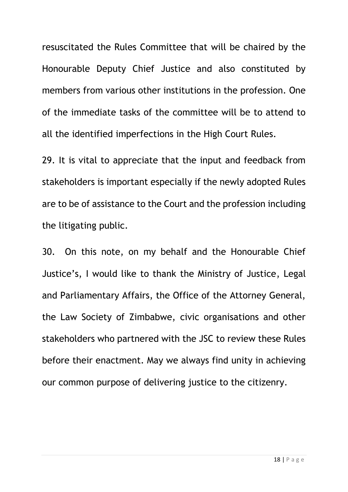resuscitated the Rules Committee that will be chaired by the Honourable Deputy Chief Justice and also constituted by members from various other institutions in the profession. One of the immediate tasks of the committee will be to attend to all the identified imperfections in the High Court Rules.

29. It is vital to appreciate that the input and feedback from stakeholders is important especially if the newly adopted Rules are to be of assistance to the Court and the profession including the litigating public.

30. On this note, on my behalf and the Honourable Chief Justice's, I would like to thank the Ministry of Justice, Legal and Parliamentary Affairs, the Office of the Attorney General, the Law Society of Zimbabwe, civic organisations and other stakeholders who partnered with the JSC to review these Rules before their enactment. May we always find unity in achieving our common purpose of delivering justice to the citizenry.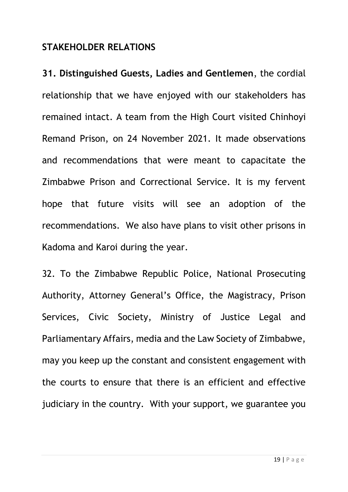#### **STAKEHOLDER RELATIONS**

**31. Distinguished Guests, Ladies and Gentlemen**, the cordial relationship that we have enjoyed with our stakeholders has remained intact. A team from the High Court visited Chinhoyi Remand Prison, on 24 November 2021. It made observations and recommendations that were meant to capacitate the Zimbabwe Prison and Correctional Service. It is my fervent hope that future visits will see an adoption of the recommendations. We also have plans to visit other prisons in Kadoma and Karoi during the year.

32. To the Zimbabwe Republic Police, National Prosecuting Authority, Attorney General's Office, the Magistracy, Prison Services, Civic Society, Ministry of Justice Legal and Parliamentary Affairs, media and the Law Society of Zimbabwe, may you keep up the constant and consistent engagement with the courts to ensure that there is an efficient and effective judiciary in the country. With your support, we guarantee you